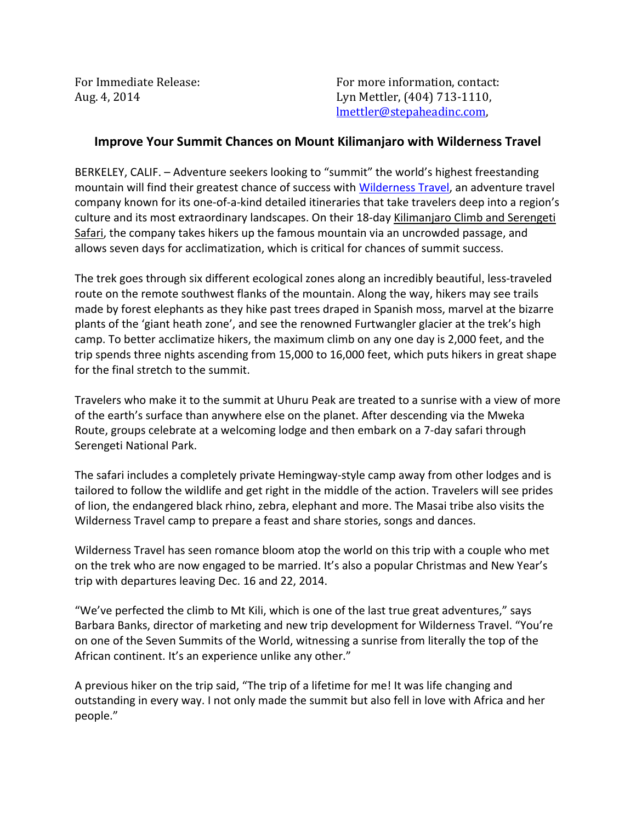For Immediate Release: The Contact of Texas For more information, contact: Aug. 4, 2014 Lyn Mettler, (404) 713-1110, lmettler@stepaheadinc.com,

## **Improve Your Summit Chances on Mount Kilimanjaro with Wilderness Travel**

BERKELEY, CALIF. – Adventure seekers looking to "summit" the world's highest freestanding mountain will find their greatest chance of success with [Wilderness Travel,](http://www.wildernesstravel.com/) an adventure travel company known for its one-of-a-kind detailed itineraries that take travelers deep into a region's culture and its most extraordinary landscapes. On their 18-day [Kilimanjaro Climb and Serengeti](http://www.wildernesstravel.com/trip/tanzania/serengeti-safari-kilimanjaro-climb)  [Safari,](http://www.wildernesstravel.com/trip/tanzania/serengeti-safari-kilimanjaro-climb) the company takes hikers up the famous mountain via an uncrowded passage, and allows seven days for acclimatization, which is critical for chances of summit success.

The trek goes through six different ecological zones along an incredibly beautiful, less-traveled route on the remote southwest flanks of the mountain. Along the way, hikers may see trails made by forest elephants as they hike past trees draped in Spanish moss, marvel at the bizarre plants of the 'giant heath zone', and see the renowned Furtwangler glacier at the trek's high camp. To better acclimatize hikers, the maximum climb on any one day is 2,000 feet, and the trip spends three nights ascending from 15,000 to 16,000 feet, which puts hikers in great shape for the final stretch to the summit.

Travelers who make it to the summit at Uhuru Peak are treated to a sunrise with a view of more of the earth's surface than anywhere else on the planet. After descending via the Mweka Route, groups celebrate at a welcoming lodge and then embark on a 7-day safari through Serengeti National Park.

The safari includes a completely private Hemingway-style camp away from other lodges and is tailored to follow the wildlife and get right in the middle of the action. Travelers will see prides of lion, the endangered black rhino, zebra, elephant and more. The Masai tribe also visits the Wilderness Travel camp to prepare a feast and share stories, songs and dances.

Wilderness Travel has seen romance bloom atop the world on this trip with a couple who met on the trek who are now engaged to be married. It's also a popular Christmas and New Year's trip with departures leaving Dec. 16 and 22, 2014.

"We've perfected the climb to Mt Kili, which is one of the last true great adventures," says Barbara Banks, director of marketing and new trip development for Wilderness Travel. "You're on one of the Seven Summits of the World, witnessing a sunrise from literally the top of the African continent. It's an experience unlike any other."

A previous hiker on the trip said, "The trip of a lifetime for me! It was life changing and outstanding in every way. I not only made the summit but also fell in love with Africa and her people."